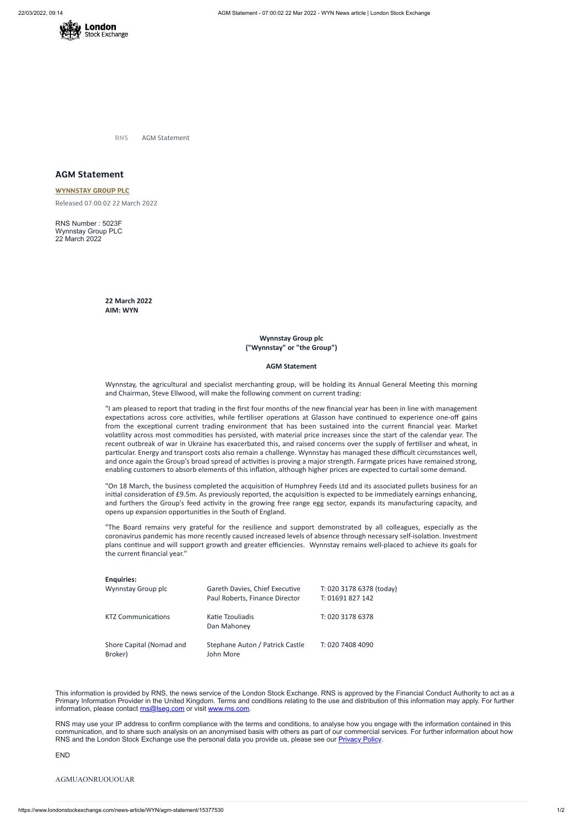

**RNS** AGM Statement

# **AGM Statement**

**[WYNNSTAY](https://www.londonstockexchange.com/stock/WYN/wynnstay-group-plc) GROUP PLC** Released 07:00:02 22 March 2022

RNS Number : 5023F Wynnstay Group PLC 22 March 2022

> **22 March 2022 AIM: WYN**

> > **Wynnstay Group plc ("Wynnstay" or "the Group")**

#### **AGM Statement**

Wynnstay, the agricultural and specialist merchanting group, will be holding its Annual General Meeting this morning and Chairman, Steve Ellwood, will make the following comment on current trading:

"I am pleased to report that trading in the first four months of the new financial year has been in line with management expectations across core activities, while fertiliser operations at Glasson have continued to experience one-off gains from the exceptional current trading environment that has been sustained into the current financial year. Market volatility across most commodities has persisted, with material price increases since the start of the calendar year. The recent outbreak of war in Ukraine has exacerbated this, and raised concerns over the supply of fertiliser and wheat, in particular. Energy and transport costs also remain a challenge. Wynnstay has managed these difficult circumstances well, and once again the Group's broad spread of activities is proving a major strength. Farmgate prices have remained strong, enabling customers to absorb elements of this inflation, although higher prices are expected to curtail some demand.

This information is provided by RNS, the news service of the London Stock Exchange. RNS is approved by the Financial Conduct Authority to act as a Primary Information Provider in the United Kingdom. Terms and conditions relating to the use and distribution of this information may apply. For further information, please contact [rns@lseg.com](mailto:rns@lseg.com) or visit [www.rns.com.](http://www.rns.com/)

RNS may use your IP address to confirm compliance with the terms and conditions, to analyse how you engage with the information contained in this communication, and to share such analysis on an anonymised basis with others as part of our commercial services. For further information about how RNS and the London Stock Exchange use the personal data you provide us, please see our **[Privacy](https://www.lseg.com/privacy-and-cookie-policy) Policy**.

"On 18 March, the business completed the acquisition of Humphrey Feeds Ltd and its associated pullets business for an initial consideration of £9.5m. As previously reported, the acquisition is expected to be immediately earnings enhancing, and furthers the Group's feed activity in the growing free range egg sector, expands its manufacturing capacity, and opens up expansion opportunities in the South of England.

"The Board remains very grateful for the resilience and support demonstrated by all colleagues, especially as the coronavirus pandemic has more recently caused increased levels of absence through necessary self-isolation. Investment plans continue and will support growth and greater efficiencies. Wynnstay remains well-placed to achieve its goals for the current financial year."

## **Enquiries:**

| Wynnstay Group plc | Gareth Davies, Chief Executive<br>Paul Roberts, Finance Director | T: 020 3178 6378 (today)<br>T: 01691 827 142 |
|--------------------|------------------------------------------------------------------|----------------------------------------------|
| KTZ Communications | Katie Tzouliadis                                                 | T: 020 3178 6378                             |

## Dan Mahoney

Shore Capital (Nomad and Broker) Stephane Auton / Patrick Castle John More T: 020 7408 4090

END

### AGMUAONRUOUOUAR